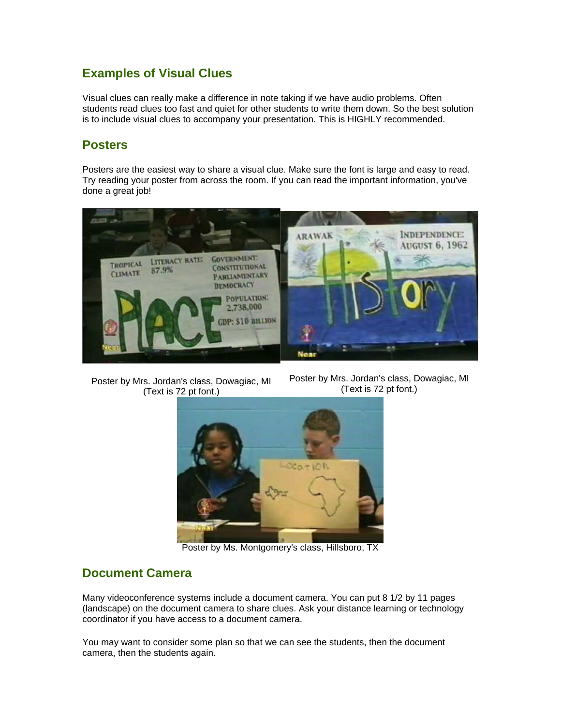#### **Examples of Visual Clues**

Visual clues can really make a difference in note taking if we have audio problems. Often students read clues too fast and quiet for other students to write them down. So the best solution is to include visual clues to accompany your presentation. This is HIGHLY recommended.

## **Posters**

Posters are the easiest way to share a visual clue. Make sure the font is large and easy to read. Try reading your poster from across the room. If you can read the important information, you've done a great job!



Poster by Mrs. Jordan's class, Dowagiac, MI (Text is 72 pt font.)

Poster by Mrs. Jordan's class, Dowagiac, MI (Text is 72 pt font.)



Poster by Ms. Montgomery's class, Hillsboro, TX

## **Document Camera**

Many videoconference systems include a document camera. You can put 8 1/2 by 11 pages (landscape) on the document camera to share clues. Ask your distance learning or technology coordinator if you have access to a document camera.

You may want to consider some plan so that we can see the students, then the document camera, then the students again.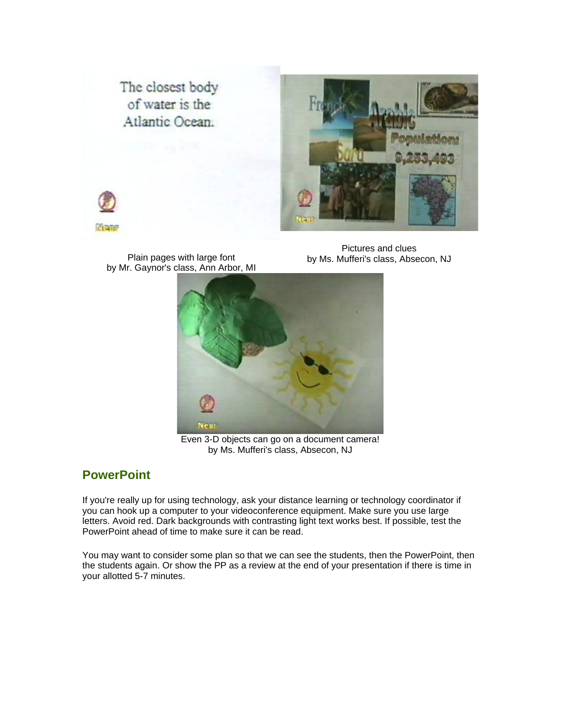The closest body of water is the Atlantic Ocean.





Plain pages with large font by Mr. Gaynor's class, Ann Arbor, MI

Pictures and clues by Ms. Mufferi's class, Absecon, NJ



Even 3-D objects can go on a document camera! by Ms. Mufferi's class, Absecon, NJ

# **PowerPoint**

If you're really up for using technology, ask your distance learning or technology coordinator if you can hook up a computer to your videoconference equipment. Make sure you use large letters. Avoid red. Dark backgrounds with contrasting light text works best. If possible, test the PowerPoint ahead of time to make sure it can be read.

You may want to consider some plan so that we can see the students, then the PowerPoint, then the students again. Or show the PP as a review at the end of your presentation if there is time in your allotted 5-7 minutes.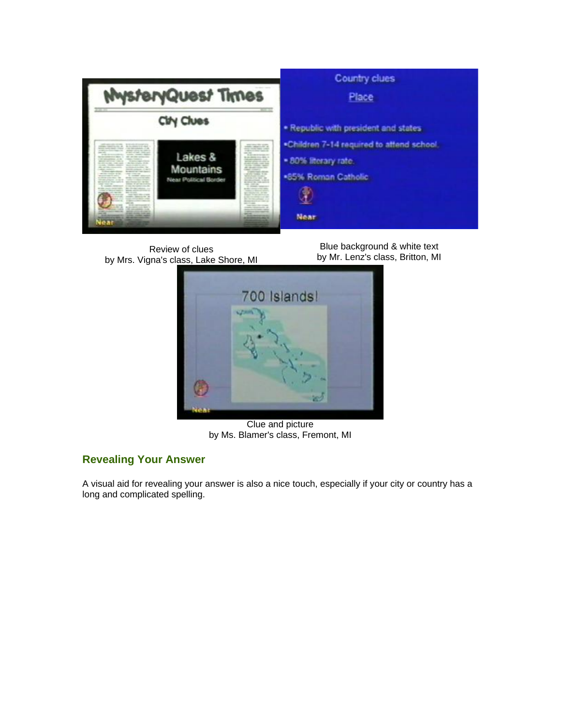

Review of clues by Mrs. Vigna's class, Lake Shore, MI

Blue background & white text by Mr. Lenz's class, Britton, MI



Clue and picture by Ms. Blamer's class, Fremont, MI

## **Revealing Your Answer**

A visual aid for revealing your answer is also a nice touch, especially if your city or country has a long and complicated spelling.